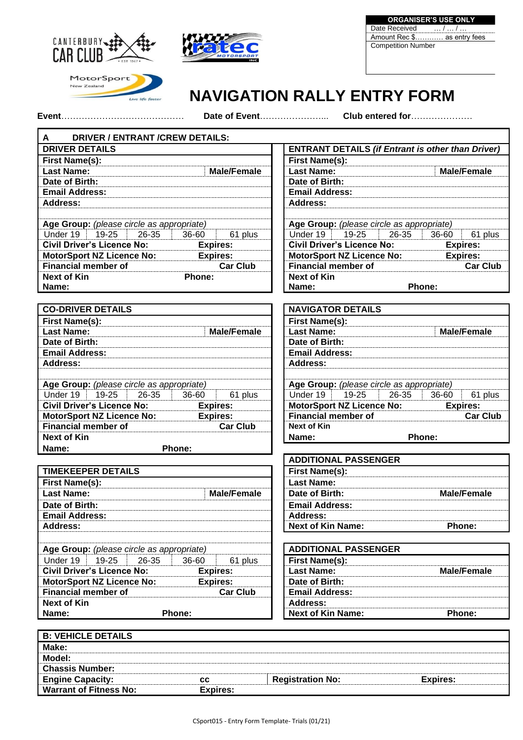



**ORGANISER'S USE ONLY** Date Received *... I ... I ...*<br>Amount Rec \$............ as entry fees Amount Rec \$. Competition Number

## MotorSport New Zealand Live life faste.

# **NAVIGATION RALLY ENTRY FORM**

**Event**…………………………………… **Date of Event**…………………... **Club entered for**…………………

| <b>DRIVER / ENTRANT /CREW DETAILS:</b><br>A            |                                                          |                    |
|--------------------------------------------------------|----------------------------------------------------------|--------------------|
| <b>DRIVER DETAILS</b>                                  | <b>ENTRANT DETAILS (if Entrant is other than Driver)</b> |                    |
| <b>First Name(s):</b>                                  | <b>First Name(s):</b>                                    |                    |
| <b>Last Name:</b><br><b>Male/Female</b>                | <b>Last Name:</b>                                        | <b>Male/Female</b> |
| Date of Birth:                                         | Date of Birth:                                           |                    |
| <b>Email Address:</b>                                  | <b>Email Address:</b>                                    |                    |
| <b>Address:</b>                                        | <b>Address:</b>                                          |                    |
|                                                        |                                                          |                    |
| Age Group: (please circle as appropriate)              | Age Group: (please circle as appropriate)                |                    |
| Under 19<br>19-25<br>26-35<br>61 plus<br>36-60         | Under 19<br>19-25<br>26-35                               | 61 plus<br>36-60   |
| <b>Civil Driver's Licence No:</b><br><b>Expires:</b>   | <b>Civil Driver's Licence No:</b>                        | <b>Expires:</b>    |
| <b>MotorSport NZ Licence No:</b><br><b>Expires:</b>    | <b>MotorSport NZ Licence No:</b>                         | <b>Expires:</b>    |
| <b>Car Club</b><br><b>Financial member of</b>          | <b>Financial member of</b>                               | <b>Car Club</b>    |
| <b>Next of Kin</b><br>Phone:                           | <b>Next of Kin</b>                                       |                    |
| Name:                                                  | Phone:<br>Name:                                          |                    |
| <b>CO-DRIVER DETAILS</b>                               | <b>NAVIGATOR DETAILS</b>                                 |                    |
| <b>First Name(s):</b>                                  | <b>First Name(s):</b>                                    |                    |
| <b>Last Name:</b><br><b>Male/Female</b>                | <b>Last Name:</b>                                        | <b>Male/Female</b> |
| Date of Birth:                                         | Date of Birth:                                           |                    |
| <b>Email Address:</b>                                  | <b>Email Address:</b>                                    |                    |
| <b>Address:</b>                                        | <b>Address:</b>                                          |                    |
|                                                        |                                                          |                    |
| Age Group: (please circle as appropriate)              | Age Group: (please circle as appropriate)                |                    |
| Under 19<br>$19 - 25$<br>61 plus<br>$26 - 35$<br>36-60 | Under 19<br>19-25<br>$26 - 35$                           | 61 plus<br>36-60   |
| <b>Civil Driver's Licence No:</b><br><b>Expires:</b>   | <b>MotorSport NZ Licence No:</b>                         | <b>Expires:</b>    |
| <b>MotorSport NZ Licence No:</b><br><b>Expires:</b>    | <b>Financial member of</b>                               | <b>Car Club</b>    |
| <b>Financial member of</b><br><b>Car Club</b>          | <b>Next of Kin</b>                                       |                    |
| <b>Next of Kin</b>                                     | Phone:<br>Name:                                          |                    |
| Phone:<br>Name:                                        |                                                          |                    |
|                                                        | <b>ADDITIONAL PASSENGER</b>                              |                    |
| <b>TIMEKEEPER DETAILS</b>                              | <b>First Name(s):</b>                                    |                    |
| <b>First Name(s):</b>                                  | <b>Last Name:</b>                                        |                    |
| <b>Last Name:</b><br><b>Male/Female</b>                | Date of Birth:                                           | <b>Male/Female</b> |
| Date of Birth:                                         | <b>Email Address:</b>                                    |                    |
| <b>Email Address:</b>                                  | <b>Address:</b>                                          |                    |
| <b>Address:</b>                                        | <b>Next of Kin Name:</b>                                 | Phone:             |
|                                                        |                                                          |                    |
| Age Group: (please circle as appropriate)              | <b>ADDITIONAL PASSENGER</b>                              |                    |
| Under 19<br>19-25<br>26-35<br>36-60<br>61 plus         | <b>First Name(s):</b>                                    |                    |
| <b>Civil Driver's Licence No:</b><br><b>Expires:</b>   | <b>Last Name:</b>                                        | <b>Male/Female</b> |
| <b>MotorSport NZ Licence No:</b><br><b>Expires:</b>    | Date of Birth:                                           |                    |
| <b>Car Club</b><br><b>Financial member of</b>          | <b>Email Address:</b>                                    |                    |
| <b>Next of Kin</b>                                     | <b>Address:</b>                                          |                    |
| Name:<br>Phone:                                        | <b>Next of Kin Name:</b>                                 | Phone:             |
|                                                        |                                                          |                    |
| <b>B: VEHICLE DETAILS</b>                              |                                                          |                    |
| Make:                                                  |                                                          |                    |
| Model:                                                 |                                                          |                    |
| <b>Chassis Number:</b>                                 |                                                          |                    |

| *******************           |         |                         |          |
|-------------------------------|---------|-------------------------|----------|
| <b>Engine Capacity:</b>       | rr      | <b>Registration No:</b> | ™voires: |
| <b>Warrant of Fitness No:</b> | xpires: |                         |          |
|                               |         |                         |          |